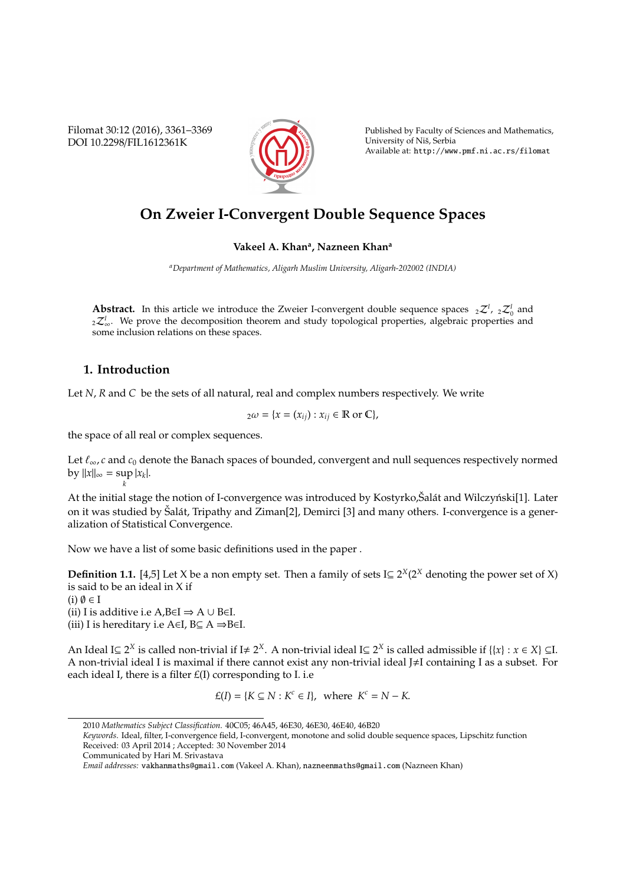Filomat 30:12 (2016), 3361–3369 DOI 10.2298/FIL1612361K



Published by Faculty of Sciences and Mathematics, University of Niš, Serbia Available at: http://www.pmf.ni.ac.rs/filomat

# **On Zweier I-Convergent Double Sequence Spaces**

### **Vakeel A. Khan<sup>a</sup> , Nazneen Khan<sup>a</sup>**

*<sup>a</sup>Department of Mathematics, Aligarh Muslim University, Aligarh-202002 (INDIA)*

**Abstract.** In this article we introduce the Zweier I-convergent double sequence spaces  ${}_{2}Z^{I}$ ,  ${}_{2}Z^{I}$  and 2Z<sup>I</sup><sub>∞</sub>. We prove the decomposition theorem and study topological properties, algebraic properties and some inclusion relations on these spaces.

## **1. Introduction**

*k*

Let *N*, *R* and *C* be the sets of all natural, real and complex numbers respectively. We write

$$
{}_2\omega = \{x = (x_{ij}) : x_{ij} \in \mathbb{R} \text{ or } \mathbb{C}\},
$$

the space of all real or complex sequences.

Let  $\ell_{\infty}, c$  and  $c_0$  denote the Banach spaces of bounded, convergent and null sequences respectively normed  $\frac{dy}{dx} = \sup |x_k|.$ 

At the initial stage the notion of I-convergence was introduced by Kostyrko, Salát and Wilczyński[1]. Later on it was studied by Šalát, Tripathy and Ziman[2], Demirci [3] and many others. I-convergence is a generalization of Statistical Convergence.

Now we have a list of some basic definitions used in the paper .

**Definition 1.1.** [4,5] Let X be a non empty set. Then a family of sets I $\subseteq 2^X(2^X)$  denoting the power set of X) is said to be an ideal in X if

 $(i)$   $\emptyset \in I$ (ii) I is additive i.e A,B∈I  $\Rightarrow$  A ∪ B∈I. (iii) I is hereditary i.e A∈I,  $B \subseteq A \Rightarrow B \in I$ .

An Ideal I⊆ 2<sup>*X*</sup> is called non-trivial if I≠ 2<sup>*X*</sup>. A non-trivial ideal I⊆ 2<sup>*X*</sup> is called admissible if {{*x*} : *x* ∈ *X*} ⊆I. A non-trivial ideal I is maximal if there cannot exist any non-trivial ideal J#I containing I as a subset. For each ideal I, there is a filter  $E(I)$  corresponding to I. i.e

$$
\pounds(I) = \{K \subseteq N : K^c \in I\}, \text{ where } K^c = N - K.
$$

<sup>2010</sup> *Mathematics Subject Classification*. 40C05; 46A45, 46E30, 46E30, 46E40, 46B20

*Keywords*. Ideal, filter, I-convergence field, I-convergent, monotone and solid double sequence spaces, Lipschitz function Received: 03 April 2014 ; Accepted: 30 November 2014

Communicated by Hari M. Srivastava

*Email addresses:* vakhanmaths@gmail.com (Vakeel A. Khan), nazneenmaths@gmail.com (Nazneen Khan)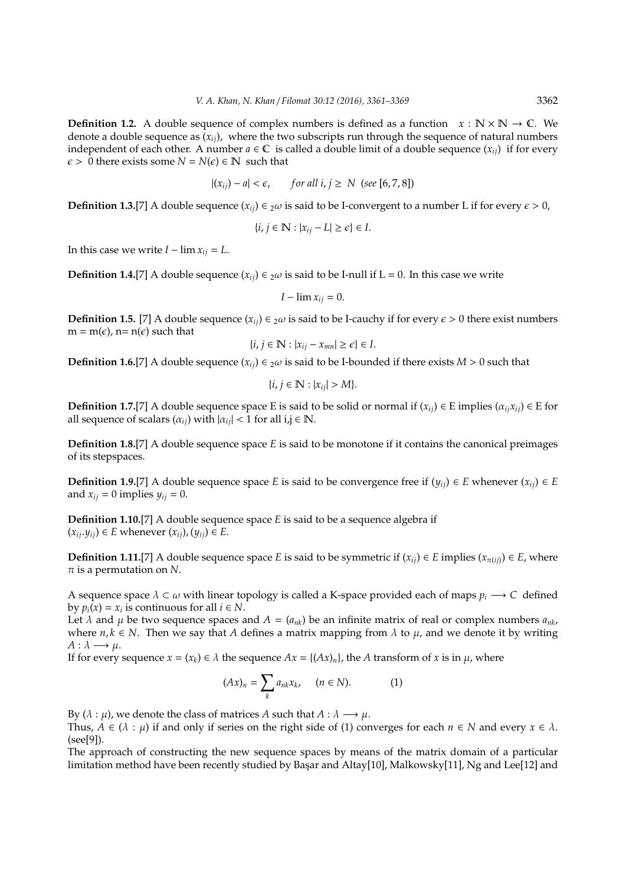**Definition 1.2.** A double sequence of complex numbers is defined as a function  $x : \mathbb{N} \times \mathbb{N} \to \mathbb{C}$ . We denote a double sequence as  $(x_i)$ , where the two subscripts run through the sequence of natural numbers independent of each other. A number  $a \in \mathbb{C}$  is called a double limit of a double sequence  $(x_{ij})$  if for every  $\epsilon > 0$  there exists some  $N = N(\epsilon) \in \mathbb{N}$  such that

$$
|(x_{ij}) - a| < \epsilon, \qquad \text{for all } i, j \geq N \text{ (see [6, 7, 8])}
$$

**Definition 1.3.**[7] A double sequence  $(x_{ij}) \in 2\omega$  is said to be I-convergent to a number L if for every  $\epsilon > 0$ ,

$$
\{i, j \in \mathbb{N} : |x_{ij} - L| \ge \epsilon\} \in I.
$$

In this case we write  $I - \lim x_{ij} = L$ .

**Definition 1.4.**[7] A double sequence  $(x_{ij}) \in 2\omega$  is said to be I-null if L = 0. In this case we write

$$
I-\lim x_{ij}=0.
$$

**Definition 1.5.** [7] A double sequence  $(x_{ij}) \in 2\omega$  is said to be I-cauchy if for every  $\epsilon > 0$  there exist numbers  $m = m(\epsilon)$ ,  $n = n(\epsilon)$  such that

$$
\{i, j \in \mathbb{N} : |x_{ij} - x_{mn}| \ge \epsilon\} \in I.
$$

**Definition 1.6.**[7] A double sequence  $(x_{ij}) \in 2\omega$  is said to be I-bounded if there exists  $M > 0$  such that

$$
\{i, j \in \mathbb{N} : |x_{ij}| > M\}.
$$

**Definition 1.7.**[7] A double sequence space E is said to be solid or normal if  $(x_{ij}) \in E$  implies  $(\alpha_{ij} x_{ij}) \in E$  for all sequence of scalars  $(\alpha_{ij})$  with  $|\alpha_{ij}| < 1$  for all  $i, j \in \mathbb{N}$ .

**Definition 1.8.**[7] A double sequence space *E* is said to be monotone if it contains the canonical preimages of its stepspaces.

**Definition 1.9.**[7] A double sequence space *E* is said to be convergence free if  $(y_{ii}) \in E$  whenever  $(x_{ii}) \in E$ and  $x_{ij} = 0$  implies  $y_{ij} = 0$ .

**Definition 1.10.**[7] A double sequence space *E* is said to be a sequence algebra if  $(x_{ij}.y_{ij})$  ∈ *E* whenever  $(x_{ij})$ ,  $(y_{ij})$  ∈ *E*.

**Definition 1.11.**[7] A double sequence space *E* is said to be symmetric if  $(x_{ii}) \in E$  implies  $(x_{\pi(ii)}) \in E$ , where  $\pi$  is a permutation on N.

A sequence space  $\lambda \subset \omega$  with linear topology is called a K-space provided each of maps  $p_i \longrightarrow C$  defined by  $p_i(x) = x_i$  is continuous for all  $i \in N$ .

Let  $\lambda$  and  $\mu$  be two sequence spaces and  $A = (a_{nk})$  be an infinite matrix of real or complex numbers  $a_{nk}$ , where  $n, k \in N$ . Then we say that *A* defines a matrix mapping from  $\lambda$  to  $\mu$ , and we denote it by writing  $A: \lambda \longrightarrow \mu$ .

If for every sequence  $x = (x_k) \in \lambda$  the sequence  $Ax = \{(Ax)_n\}$ , the *A* transform of *x* is in  $\mu$ , where

$$
(Ax)_n = \sum_k a_{nk} x_k, \quad (n \in N). \tag{1}
$$

By ( $\lambda : \mu$ ), we denote the class of matrices *A* such that  $A : \lambda \longrightarrow \mu$ .

Thus,  $A \in (\lambda : \mu)$  if and only if series on the right side of (1) converges for each  $n \in N$  and every  $x \in \lambda$ . (see[9]).

The approach of constructing the new sequence spaces by means of the matrix domain of a particular limitation method have been recently studied by Başar and Altay[10], Malkowsky[11], Ng and Lee[12] and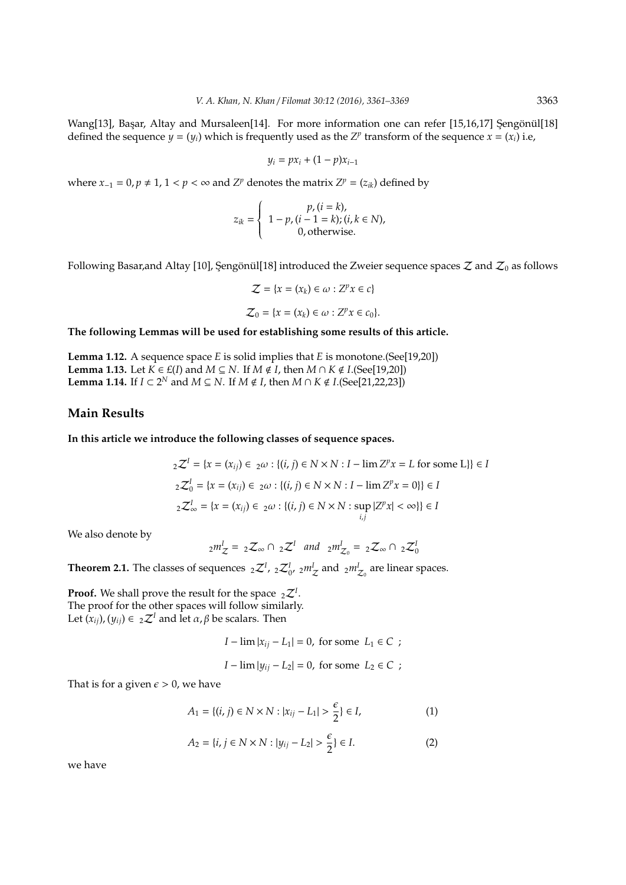Wang[13], Basar, Altay and Mursaleen[14]. For more information one can refer [15,16,17] Sengönül[18] defined the sequence  $y = (y_i)$  which is frequently used as the  $Z^p$  transform of the sequence  $x = (x_i)$  i.e,

$$
y_i = px_i + (1 - p)x_{i-1}
$$

where  $x_{-1} = 0$ ,  $p ≠ 1$ ,  $1 < p < \infty$  and  $Z^p$  denotes the matrix  $Z^p = (z_{ik})$  defined by

$$
z_{ik} = \left\{\n\begin{array}{l}\np, (i = k), \\
1 - p, (i - 1 = k); (i, k \in N), \\
0, \text{otherwise.}\n\end{array}\n\right.
$$

Following Basar,and Altay [10], Şengönül[18] introduced the Zweier sequence spaces  $\mathcal Z$  and  $\mathcal Z_0$  as follows

$$
\mathcal{Z} = \{x = (x_k) \in \omega : Z^p x \in c\}
$$

$$
\mathcal{Z}_0 = \{x = (x_k) \in \omega : Z^p x \in c_0\}.
$$

**The following Lemmas will be used for establishing some results of this article.**

**Lemma 1.12.** A sequence space *E* is solid implies that *E* is monotone.(See[19,20]) **Lemma 1.13.** Let *K* ∈ *£*(*I*) and *M* ⊆ *N*. If *M* ∉ *I*, then *M* ∩ *K* ∉ *I*.(See[19,20]) **Lemma 1.14.** If *I* ⊂  $2^N$  and *M* ⊆ *N*. If *M* ∉ *I*, then *M* ∩ *K* ∉ *I*.(See[21,22,23])

#### **Main Results**

**In this article we introduce the following classes of sequence spaces.**

$$
{}_{2}\mathcal{Z}^{I} = \{x = (x_{ij}) \in {}_{2}\omega : \{(i, j) \in N \times N : I - \lim Z^{p}x = L \text{ for some } L\}\}\in I
$$
  

$$
{}_{2}\mathcal{Z}_{0}^{I} = \{x = (x_{ij}) \in {}_{2}\omega : \{(i, j) \in N \times N : I - \lim Z^{p}x = 0\}\}\in I
$$
  

$$
{}_{2}\mathcal{Z}_{\infty}^{I} = \{x = (x_{ij}) \in {}_{2}\omega : \{(i, j) \in N \times N : \sup_{i,j} |Z^{p}x| < \infty\}\}\in I
$$

We also denote by

$$
_2m_Z^I = _2\mathcal{Z}_{\infty} \cap _2\mathcal{Z}^I \quad and \quad _2m_{\mathcal{Z}_0}^I = _2\mathcal{Z}_{\infty} \cap _2\mathcal{Z}_0^I
$$

**Theorem 2.1.** The classes of sequences  ${}_{2}Z^{I}$ ,  ${}_{2}Z^{I}_{0}$ ,  ${}_{2}m^{I}_{Z}$  and  ${}_{2}m^{I}_{Z_{0}}$  are linear spaces.

**Proof.** We shall prove the result for the space  ${}_{2}Z^{I}$ . The proof for the other spaces will follow similarly. Let  $(x_{ii})$ ,  $(y_{ii}) \in 2\mathcal{Z}^I$  and let  $\alpha, \beta$  be scalars. Then

$$
I - \lim |x_{ij} - L_1| = 0, \text{ for some } L_1 \in C ;
$$

$$
I - \lim |y_{ij} - L_2| = 0, \text{ for some } L_2 \in C ;
$$

That is for a given  $\epsilon > 0$ , we have

$$
A_1 = \{(i, j) \in N \times N : |x_{ij} - L_1| > \frac{\epsilon}{2}\} \in I,
$$
 (1)

$$
A_2 = \{i, j \in N \times N : |y_{ij} - L_2| > \frac{\epsilon}{2}\} \in I.
$$
 (2)

we have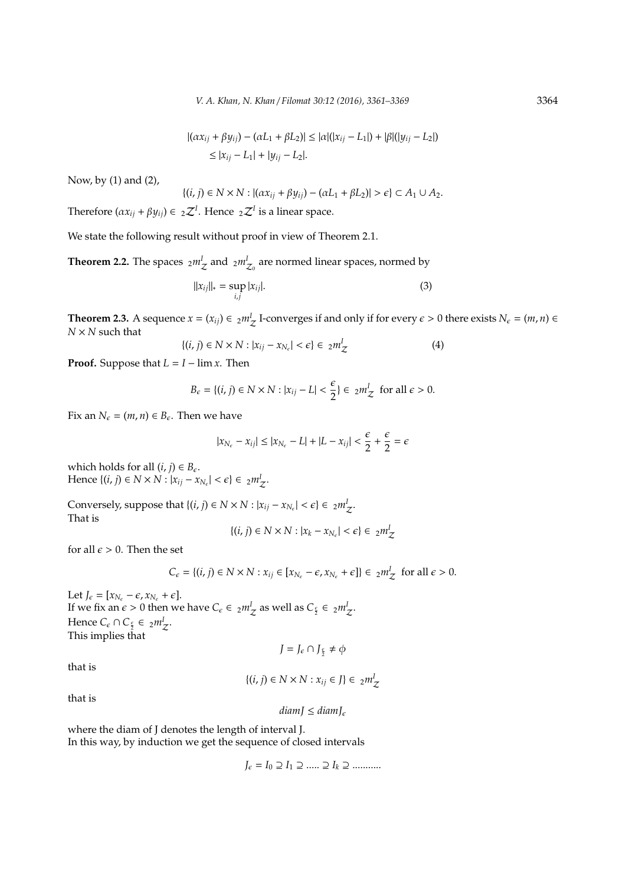$$
|(ax_{ij} + \beta y_{ij}) - (\alpha L_1 + \beta L_2)| \le |\alpha|(|x_{ij} - L_1|) + |\beta|(|y_{ij} - L_2|)
$$
  

$$
\le |x_{ij} - L_1| + |y_{ij} - L_2|.
$$

Now, by (1) and (2),

$$
\{(i,j)\in N\times N: |(\alpha x_{ij}+\beta y_{ij})-(\alpha L_1+\beta L_2)|>\epsilon\}\subset A_1\cup A_2.
$$

Therefore  $(\alpha x_{ij} + \beta y_{ij}) \in {}_{2}\mathcal{Z}^{I}$ . Hence  ${}_{2}\mathcal{Z}^{I}$  is a linear space.

We state the following result without proof in view of Theorem 2.1.

**Theorem 2.2.** The spaces  $_2m^I_{\mathcal{Z}}$  and  $_2m^I_{\mathcal{Z}_0}$  are normed linear spaces, normed by

$$
||x_{ij}||_* = \sup_{i,j} |x_{ij}|. \tag{3}
$$

**Theorem 2.3.** A sequence  $x = (x_{ij}) \in 2m\frac{1}{Z}$  I-converges if and only if for every  $\epsilon > 0$  there exists  $N_{\epsilon} = (m, n) \in$ *N* × *N* such that

$$
\{(i,j)\in N\times N:|x_{ij}-x_{N_{\epsilon}}|<\epsilon\}\in 2m_{\mathcal{Z}}^{I}
$$
\n
$$
(4)
$$

**Proof.** Suppose that  $L = I - \lim x$ . Then

$$
B_{\epsilon} = \{(i, j) \in N \times N : |x_{ij} - L| < \frac{\epsilon}{2}\} \in \, _2m_{\mathcal{Z}}^I \text{ for all } \epsilon > 0.
$$

Fix an  $N_{\epsilon} = (m, n) \in B_{\epsilon}$ . Then we have

$$
|x_{N_\epsilon}-x_{ij}|\leq |x_{N_\epsilon}-L|+|L-x_{ij}|<\frac{\epsilon}{2}+\frac{\epsilon}{2}=\epsilon
$$

which holds for all  $(i, j) \in B_{\epsilon}$ . Hence {(*i*, *j*) ∈ *N* × *N* :  $|x_{ij} - x_{N_{\epsilon}}| < \epsilon$ } ∈  $_{2}m_{\mathcal{Z}}^{I}$ .

Conversely, suppose that  $\{(i, j) \in N \times N : |x_{ij} - x_{N_{\epsilon}}| < \epsilon\} \in 2m_{\mathcal{I}}^{\mathcal{I}}$ . That is

$$
\{(i,j)\in N\times N:|x_k-x_{N_\epsilon}|<\epsilon\}\in~_{2}m_Z^I
$$

for all  $\epsilon > 0$ . Then the set

$$
C_{\epsilon} = \{(i, j) \in N \times N : x_{ij} \in [x_{N_{\epsilon}} - \epsilon, x_{N_{\epsilon}} + \epsilon] \} \in {}_{2}m_{\mathcal{Z}}^{I}
$$
 for all  $\epsilon > 0$ .

Let  $J_\epsilon = [x_{N_\epsilon} - \epsilon, x_{N_\epsilon} + \epsilon].$ If we fix an  $\epsilon > 0$  then we have  $C_{\epsilon} \in 2m_{\mathcal{Z}}^I$  as well as  $C_{\frac{\epsilon}{2}} \in 2m_{\mathcal{Z}}^I$ . Hence  $C_{\epsilon} \cap C_{\frac{\epsilon}{2}} \in 2m_{\mathcal{Z}}^{\mathcal{I}}$ . This implies that

$$
J = J_{\epsilon} \cap J_{\frac{\epsilon}{2}} \neq \phi
$$

that is

$$
\{(i,j)\in N\times N:x_{ij}\in J\}\in\ _{2}m_{\mathcal{Z}}^{I}
$$

that is

$$
diam J \leq diam J_{\epsilon}
$$

where the diam of J denotes the length of interval J. In this way, by induction we get the sequence of closed intervals

 $J_{\epsilon} = I_0 \supseteq I_1 \supseteq \dots \supseteq I_k \supseteq \dots \dots$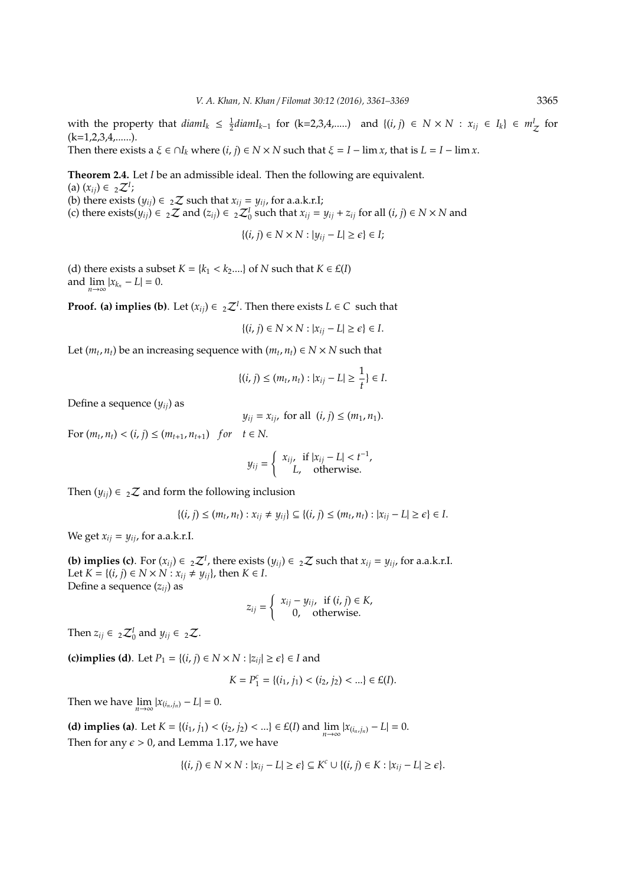with the property that  $diam I_k \leq \frac{1}{2} diam I_{k-1}$  for  $(k=2,3,4,...)$  and  $\{(i,j) \in N \times N : x_{ij} \in I_k\} \in m_Z^I$  for  $(k=1,2,3,4,...).$ 

Then there exists a  $\xi \in \bigcap I_k$  where  $(i, j) \in N \times N$  such that  $\xi = I - \lim x$ , that is  $L = I - \lim x$ .

**Theorem 2.4.** Let *I* be an admissible ideal. Then the following are equivalent.  $(a) (x_{ij}) \in 2Z^I;$ (b) there exists  $(y_{ij}) \in {}_{2}Z$  such that  $x_{ij} = y_{ij}$ , for a.a.k.r.I; (c) there exists( $y_{ij}$ ) ∈ 2 $\mathcal{Z}$  and ( $z_{ij}$ ) ∈ 2 $\mathcal{Z}_0^I$  such that  $x_{ij} = y_{ij} + z_{ij}$  for all (*i*, *j*) ∈ *N* × *N* and

{ $(i, j)$  ∈ *N* × *N* :  $|y_{ij} - L|$  ≥  $\epsilon$ } ∈ *I*;

(d) there exists a subset  $K = \{k_1 < k_2, \ldots\}$  of  $N$  such that  $K \in \mathcal{L}(I)$ and  $\lim_{n \to \infty} |x_{k_n} - L| = 0.$ 

**Proof. (a) implies (b)**. Let  $(x_{ij}) \in {}_{2}\mathcal{Z}^{I}$ . Then there exists  $L \in C$  such that

$$
\{(i,j)\in N\times N: |x_{ij}-L|\geq \epsilon\}\in I.
$$

Let  $(m_t, n_t)$  be an increasing sequence with  $(m_t, n_t) \in N \times N$  such that

$$
\{(i, j) \le (m_t, n_t) : |x_{ij} - L| \ge \frac{1}{t}\} \in I.
$$

Define a sequence (*yij*) as

*y*<sub>*ij*</sub> = *x*<sub>*ij*</sub>, for all  $(i, j) \leq (m_1, n_1)$ .

For  $(m_t, n_t) < (i, j) \le (m_{t+1}, n_{t+1})$  *for*  $t \in N$ .

$$
y_{ij} = \begin{cases} x_{ij}, & \text{if } |x_{ij} - L| < t^{-1}, \\ L, & \text{otherwise.} \end{cases}
$$

Then  $(y_{ii}) \in \mathbb{Z}$  and form the following inclusion

$$
\{(i, j) \le (m_t, n_t) : x_{ij} \ne y_{ij}\} \subseteq \{(i, j) \le (m_t, n_t) : |x_{ij} - L| \ge \epsilon\} \in I.
$$

We get  $x_{ij} = y_{ij}$ , for a.a.k.r.I.

**(b) implies (c)**. For  $(x_{ij}) \in \mathbb{Z}^I$ , there exists  $(y_{ij}) \in \mathbb{Z}^I$  such that  $x_{ij} = y_{ij}$ , for a.a.k.r.I. Let *K* = {(*i*, *j*) ∈ *N* × *N* :  $x_{ij}$  ≠  $y_{ij}$ }, then *K* ∈ *I*. Define a sequence (*zij*) as

$$
z_{ij} = \begin{cases} x_{ij} - y_{ij}, & \text{if } (i, j) \in K, \\ 0, & \text{otherwise.} \end{cases}
$$

Then  $z_{ij} \in {}_{2}Z_{0}^{I}$  and  $y_{ij} \in {}_{2}Z$ .

(c)implies (d). Let  $P_1 = \{(i, j) \in N \times N : |z_{ii}| \ge \epsilon\} \in I$  and

$$
K = P_1^c = \{(i_1, j_1) < (i_2, j_2) < \ldots\} \in \mathcal{E}(I).
$$

Then we have  $\lim_{n \to \infty} |x_{(i_n,j_n)} - L| = 0$ .

**(d) implies (a)**. Let  $K = \{(i_1, j_1) < (i_2, j_2) < ... \} \in E(I)$  and  $\lim_{n \to \infty} |x_{(i_n, j_n)} - L| = 0$ . Then for any  $\epsilon > 0$ , and Lemma 1.17, we have

$$
\{(i, j) \in N \times N : |x_{ij} - L| \ge \epsilon\} \subseteq K^c \cup \{(i, j) \in K : |x_{ij} - L| \ge \epsilon\}.
$$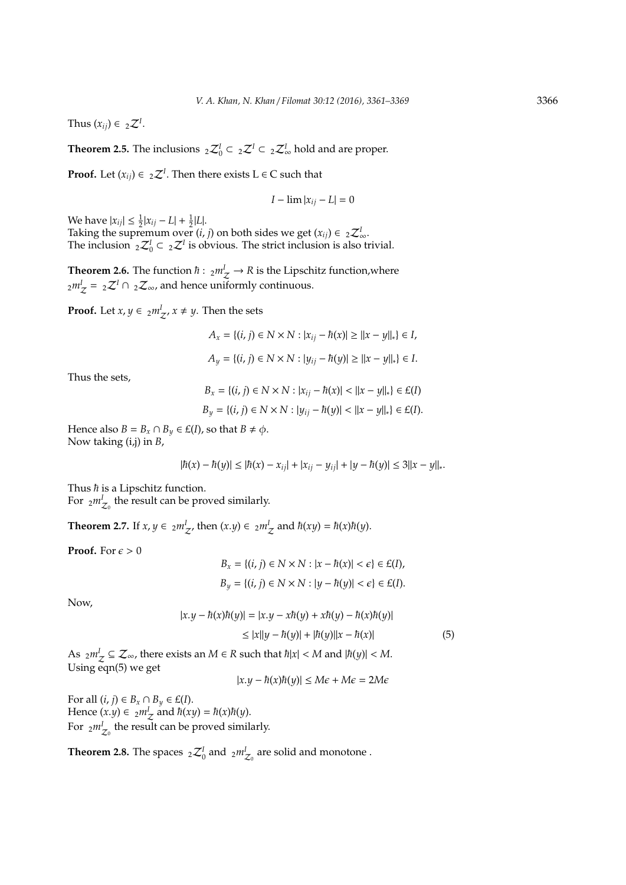Thus  $(x_{ij}) \in {}_{2}Z^{I}$ .

**Theorem 2.5.** The inclusions  ${}_{2}Z_{0}^{I} \subset {}_{2}Z_{0}^{I} \subset {}_{2}Z_{\infty}^{I}$  hold and are proper.

**Proof.** Let  $(x_{ij}) \in {}_{2}{{Z}^{I}}$ . Then there exists  $L \in C$  such that

$$
I-\lim |x_{ij}-L|=0
$$

We have  $|x_{ij}| \leq \frac{1}{2}|x_{ij} - L| + \frac{1}{2}|L|$ .

Taking the supremum over  $(i, j)$  on both sides we get  $(x_{ij}) \in {}_{2}Z^{I}_{\infty}$ . The inclusion  ${}_{2}Z_{0}^{I} \subset {}_{2}Z^{I}$  is obvious. The strict inclusion is also trivial.

**Theorem 2.6.** The function  $\hbar$  :  $_{2}m_{\mathcal{Z}}^{I} \rightarrow R$  is the Lipschitz function, where  $_{2}m_{\mathcal{J}}^{I}$  =  $_{2}\mathcal{Z}^{I}$   $\cap$   $_{2}\mathcal{Z}_{\infty}$ , and hence uniformly continuous.

**Proof.** Let  $x, y \in \frac{2mZ}{}, x \neq y$ . Then the sets

*A*<sub>*x*</sub> = {(*i*, *j*) ∈ *N* × *N* :  $|x_{ij} - \hbar(x)| \ge ||x - y||_*$ } ∈ *I*, *A*<sup>*y*</sup> = {(*i*, *j*) ∈ *N* × *N* :  $|y_{ij} - \hbar(y)| \ge ||x - y||_*$ } ∈ *I*.

Thus the sets,

$$
B_x = \{(i, j) \in N \times N : |x_{ij} - \hbar(x)| < ||x - y||_*\} \in E(I)
$$
  

$$
B_y = \{(i, j) \in N \times N : |y_{ij} - \hbar(y)| < ||x - y||_*\} \in E(I).
$$

Hence also *B* =  $B_x \cap B_y \in E(I)$ , so that  $B \neq \phi$ . Now taking (i,j) in *B*,

$$
|\hbar(x) - \hbar(y)| \leq |\hbar(x) - x_{ij}| + |x_{ij} - y_{ij}| + |y - \hbar(y)| \leq 3||x - y||_{*}.
$$

Thus  $\hbar$  is a Lipschitz function.

For  $2m^I_{Z_0}$  the result can be proved similarly.

**Theorem 2.7.** If  $x, y \in \frac{2mZ}{Z}$ , then  $(x,y) \in \frac{2mZ}{Z}$  and  $\hbar(xy) = \hbar(x)\hbar(y)$ .

**Proof.** For  $\epsilon > 0$ 

$$
\begin{aligned} B_x&=\{(i,j)\in N\times N: |x-\hbar(x)|<\epsilon\}\in E(I),\\ B_y&=\{(i,j)\in N\times N: |y-\hbar(y)|<\epsilon\}\in E(I). \end{aligned}
$$

Now,

$$
|x.y - \hbar(x)\hbar(y)| = |x.y - x\hbar(y) + x\hbar(y) - \hbar(x)\hbar(y)|
$$
  
\n
$$
\le |x||y - \hbar(y)| + |\hbar(y)||x - \hbar(x)| \tag{5}
$$

As  $_{2}m_{\mathcal{J}}^{I} \subseteq \mathcal{Z}_{\infty}$ , there exists an  $M \in \mathbb{R}$  such that  $\hbar |x| < M$  and  $|\hbar(y)| < M$ . Using eqn(5) we get

 $|x \cdot y - \hbar(x)\hbar(y)|$  ≤ *M* $\epsilon$  + *M* $\epsilon$  = 2*M* $\epsilon$ 

For all  $(i, j) \in B_x \cap B_y \in E(I)$ . Hence  $(x,y) \in 2m\frac{1}{Z}$  and  $\hbar(xy) = \hbar(x)\hbar(y)$ . For  $2m^I_{Z_0}$  the result can be proved similarly.

**Theorem 2.8.** The spaces  ${}_{2}Z_{0}^{I}$  and  ${}_{2}m^{I}_{Z_{0}}$  are solid and monotone .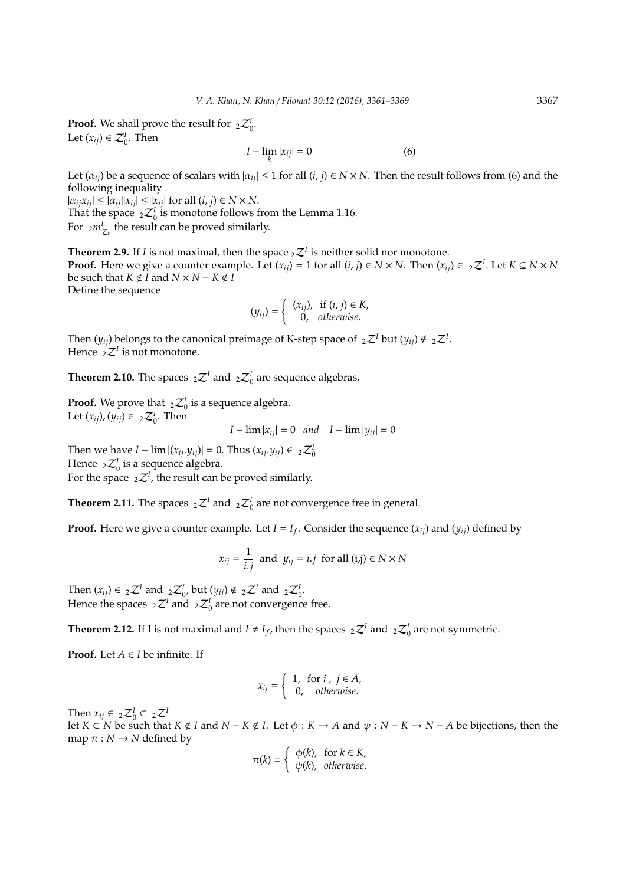**Proof.** We shall prove the result for  ${}_{2}Z_{0}^{I}$ . Let  $(x_{ij}) \in \mathcal{Z}_0^I$ . Then

$$
I - \lim_{k} |x_{ij}| = 0 \tag{6}
$$

Let  $(\alpha_{ij})$  be a sequence of scalars with  $|\alpha_{ij}| \le 1$  for all  $(i, j) \in N \times N$ . Then the result follows from (6) and the following inequality

 $|\alpha_{ij}x_{ij}| \leq |\alpha_{ij}||x_{ij}| \leq |x_{ij}|$  for all  $(i, j) \in N \times N$ . That the space  ${}_{2}Z_{0}^{I}$  is monotone follows from the Lemma 1.16. For  $2m^I_{Z_0}$  the result can be proved similarly.

**Theorem 2.9.** If *I* is not maximal, then the space  ${}_{2}\mathcal{Z}^{I}$  is neither solid nor monotone. **Proof.** Here we give a counter example. Let  $(x_{ij}) = 1$  for all  $(i, j) \in N \times N$ . Then  $(x_{ij}) \in {}_2\mathcal{Z}^I$ . Let  $K \subseteq N \times N$ be such that  $K \notin I$  and  $N \times N - K \notin I$ Define the sequence

$$
(y_{ij}) = \begin{cases} (x_{ij}), & \text{if } (i, j) \in K, \\ 0, & \text{otherwise.} \end{cases}
$$

Then  $(y_{ij})$  belongs to the canonical preimage of K-step space of  $\ _2\mathcal{Z}^I$  but  $(y_{ij})\notin \ _2\mathcal{Z}^I$ . Hence  ${}_{2}\mathcal{Z}^{I}$  is not monotone.

**Theorem 2.10.** The spaces  ${}_{2}\mathcal{Z}^{I}$  and  ${}_{2}\mathcal{Z}^{I}$  are sequence algebras.

**Proof.** We prove that  ${}_{2}Z_{0}^{I}$  is a sequence algebra. Let  $(x_{ij})$ ,  $(y_{ij}) \in {}_{2}Z_{0}^{I}$ . Then

$$
I - \lim |x_{ij}| = 0 \quad and \quad I - \lim |y_{ij}| = 0
$$

Then we have  $I - \lim |(x_{ij}.y_{ij})| = 0$ . Thus  $(x_{ij}.y_{ij}) \in {}_2\mathcal{Z}_0^I$ Hence  $_2\mathcal{Z}_0^I$  is a sequence algebra. For the space  ${}_{2}Z^{I}$ , the result can be proved similarly.

**Theorem 2.11.** The spaces  ${}_{2}Z^{I}$  and  ${}_{2}Z^{I}_{0}$  are not convergence free in general.

**Proof.** Here we give a counter example. Let  $I = I_f$ . Consider the sequence  $(x_{ij})$  and  $(y_{ij})$  defined by

$$
x_{ij} = \frac{1}{i,j} \text{ and } y_{ij} = i.j \text{ for all } (i,j) \in N \times N
$$

Then  $(x_{ij}) \in {}_{2}\mathcal{Z}^{I}$  and  ${}_{2}\mathcal{Z}_{0}^{I}$ , but  $(y_{ij}) \notin {}_{2}\mathcal{Z}^{I}$  and  ${}_{2}\mathcal{Z}_{0}^{I}$ . Hence the spaces  $_2\mathcal{Z}^I$  and  $_2\mathcal{Z}^I_0$  are not convergence free.

**Theorem 2.12.** If I is not maximal and  $I \neq I_f$ , then the spaces  ${}_2\mathcal{Z}^I$  and  ${}_2\mathcal{Z}^I_0$  are not symmetric.

**Proof.** Let  $A \in I$  be infinite. If

$$
x_{ij} = \left\{ \begin{array}{ll} 1, & \text{for } i \text{ , } j \in A, \\ 0, & \text{otherwise.} \end{array} \right.
$$

Then  $x_{ij} \in {}_{2}Z_{0}^{I} \subset {}_{2}Z^{I}$ 

let *K* ⊂ *N* be such that *K* ∉ *I* and *N* − *K* ∉ *I*. Let  $\phi$  : *K* → *A* and  $\psi$  : *N* − *K* → *N* − *A* be bijections, then the map  $\pi : N \to N$  defined by

$$
\pi(k) = \begin{cases} \phi(k), & \text{for } k \in K, \\ \psi(k), & \text{otherwise.} \end{cases}
$$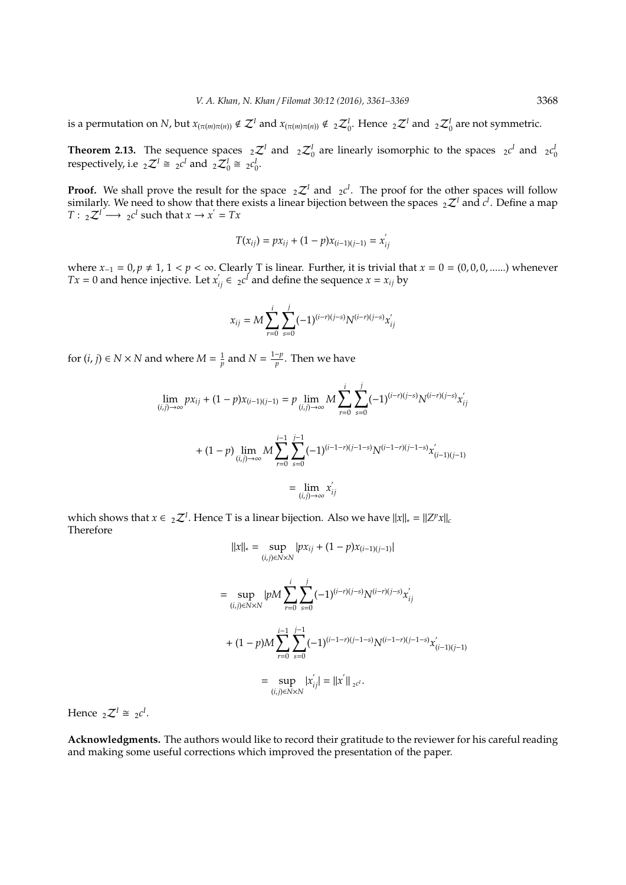is a permutation on *N*, but  $x_{(\pi(m)\pi(n))} \notin \mathcal{Z}^I$  and  $x_{(\pi(m)\pi(n))} \notin {}_2\mathcal{Z}_0^I$ . Hence  ${}_2\mathcal{Z}^I$  and  ${}_2\mathcal{Z}_0^I$  are not symmetric.

**Theorem 2.13.** The sequence spaces  ${}_2\mathcal{Z}^I$  and  ${}_2\mathcal{Z}^I_0$  are linearly isomorphic to the spaces  ${}_2c^I$  and  ${}_2c^I_0$  respectively, i.e  ${}_2\mathcal{Z}^I \cong {}_{2}c^I$  and  ${}_2\mathcal{Z}^I_0 \cong {}_{2}c^I_0$ .

**Proof.** We shall prove the result for the space  ${}_{2}\mathcal{Z}^{I}$  and  ${}_{2}c^{I}$ . The proof for the other spaces will follow similarly. We need to show that there exists a linear bijection between the spaces  ${}_{2}Z^{I}$  and  $c^{I}$ . Define a map  $T: \_2\mathcal{Z}^I \longrightarrow \_2c^I$  such that  $x \to x' = Tx$ 

$$
T(x_{ij}) = px_{ij} + (1 - p)x_{(i-1)(j-1)} = x'_{ij}
$$

where  $x_{-1} = 0$ ,  $p ≠ 1$ ,  $1 < p < \infty$ . Clearly T is linear. Further, it is trivial that  $x = 0 = (0, 0, 0, \dots)$  whenever *Tx* = 0 and hence injective. Let  $x'_{ij} \in 2c^{\ell}$  and define the sequence  $x = x_{ij}$  by

$$
x_{ij} = M \sum_{r=0}^{i} \sum_{s=0}^{j} (-1)^{(i-r)(j-s)} N^{(i-r)(j-s)} x'_{ij}
$$

for  $(i, j) \in N \times N$  and where  $M = \frac{1}{p}$  and  $N = \frac{1-p}{p}$  $\frac{\tau_P}{p}$ . Then we have

$$
\lim_{(i,j)\to\infty} px_{ij} + (1-p)x_{(i-1)(j-1)} = p \lim_{(i,j)\to\infty} M \sum_{r=0}^{i} \sum_{s=0}^{j} (-1)^{(i-r)(j-s)} N^{(i-r)(j-s)} x'_{ij}
$$

$$
+ (1-p) \lim_{(i,j)\to\infty} M \sum_{r=0}^{i-1} \sum_{s=0}^{j-1} (-1)^{(i-1-r)(j-1-s)} N^{(i-1-r)(j-1-s)} x'_{(i-1)(j-1)}
$$

$$
= \lim_{(i,j)\to\infty} x'_{ij}
$$

which shows that  $x \in \mathbb{Z}^I$ . Hence T is a linear bijection. Also we have  $||x||_* = ||Z^p x||_c$ Therefore

$$
||x||_* = \sup_{(i,j)\in N\times N} |px_{ij} + (1-p)x_{(i-1)(j-1)}|
$$
  
\n
$$
= \sup_{(i,j)\in N\times N} |pM \sum_{r=0}^{i} \sum_{s=0}^{j} (-1)^{(i-r)(j-s)} N^{(i-r)(j-s)} x'_{ij}
$$
  
\n
$$
+ (1-p)M \sum_{r=0}^{i-1} \sum_{s=0}^{j-1} (-1)^{(i-1-r)(j-1-s)} N^{(i-1-r)(j-1-s)} x'_{(i-1)(j-1)}
$$
  
\n
$$
= \sup_{(i,j)\in N\times N} |x'_{ij}| = ||x'||_{2^{c'}}.
$$

Hence  ${}_{2}\mathcal{Z}^{I} \cong {}_{2}c^{I}$ .

**Acknowledgments.** The authors would like to record their gratitude to the reviewer for his careful reading and making some useful corrections which improved the presentation of the paper.